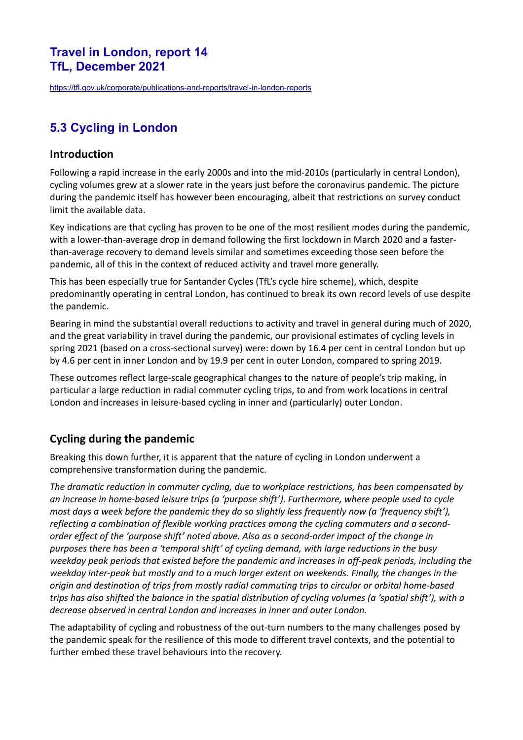## **Travel in London, report 14 TfL, December 2021**

<https://tfl.gov.uk/corporate/publications-and-reports/travel-in-london-reports>

# **5.3 Cycling in London**

#### **Introduction**

Following a rapid increase in the early 2000s and into the mid-2010s (particularly in central London), cycling volumes grew at a slower rate in the years just before the coronavirus pandemic. The picture during the pandemic itself has however been encouraging, albeit that restrictions on survey conduct limit the available data.

Key indications are that cycling has proven to be one of the most resilient modes during the pandemic, with a lower-than-average drop in demand following the first lockdown in March 2020 and a fasterthan-average recovery to demand levels similar and sometimes exceeding those seen before the pandemic, all of this in the context of reduced activity and travel more generally.

This has been especially true for Santander Cycles (TfL's cycle hire scheme), which, despite predominantly operating in central London, has continued to break its own record levels of use despite the pandemic.

Bearing in mind the substantial overall reductions to activity and travel in general during much of 2020, and the great variability in travel during the pandemic, our provisional estimates of cycling levels in spring 2021 (based on a cross-sectional survey) were: down by 16.4 per cent in central London but up by 4.6 per cent in inner London and by 19.9 per cent in outer London, compared to spring 2019.

These outcomes reflect large-scale geographical changes to the nature of people's trip making, in particular a large reduction in radial commuter cycling trips, to and from work locations in central London and increases in leisure-based cycling in inner and (particularly) outer London.

# **Cycling during the pandemic**

Breaking this down further, it is apparent that the nature of cycling in London underwent a comprehensive transformation during the pandemic.

*The dramatic reduction in commuter cycling, due to workplace restrictions, has been compensated by an increase in home-based leisure trips (a 'purpose shift'). Furthermore, where people used to cycle most days a week before the pandemic they do so slightly less frequently now (a 'frequency shift'), reflecting a combination of flexible working practices among the cycling commuters and a secondorder effect of the 'purpose shift' noted above. Also as a second-order impact of the change in purposes there has been a 'temporal shift' of cycling demand, with large reductions in the busy weekday peak periods that existed before the pandemic and increases in off-peak periods, including the weekday inter-peak but mostly and to a much larger extent on weekends. Finally, the changes in the origin and destination of trips from mostly radial commuting trips to circular or orbital home-based trips has also shifted the balance in the spatial distribution of cycling volumes (a 'spatial shift'), with a decrease observed in central London and increases in inner and outer London.* 

The adaptability of cycling and robustness of the out-turn numbers to the many challenges posed by the pandemic speak for the resilience of this mode to different travel contexts, and the potential to further embed these travel behaviours into the recovery.